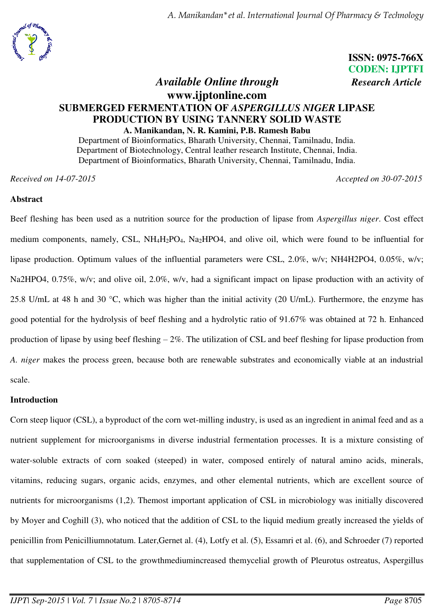



# **ISSN: 0975-766X CODEN: IJPTFI**

# *Available Online through Research Article* **www.ijptonline.com SUBMERGED FERMENTATION OF** *ASPERGILLUS NIGER* **LIPASE PRODUCTION BY USING TANNERY SOLID WASTE A. Manikandan, N. R. Kamini, P.B. Ramesh Babu**

Department of Bioinformatics, Bharath University, Chennai, Tamilnadu, India. Department of Biotechnology, Central leather research Institute, Chennai, India. Department of Bioinformatics, Bharath University, Chennai, Tamilnadu, India.

*Received on 14-07-2015 Accepted on 30-07-2015*

# **Abstract**

Beef fleshing has been used as a nutrition source for the production of lipase from *Aspergillus niger*. Cost effect medium components, namely, CSL, NH<sub>4</sub>H<sub>2</sub>PO<sub>4</sub>, Na<sub>2</sub>HPO4, and olive oil, which were found to be influential for lipase production. Optimum values of the influential parameters were CSL, 2.0%, w/v; NH4H2PO4, 0.05%, w/v; Na2HPO4, 0.75%, w/v; and olive oil, 2.0%, w/v, had a significant impact on lipase production with an activity of 25.8 U/mL at 48 h and 30 °C, which was higher than the initial activity (20 U/mL). Furthermore, the enzyme has good potential for the hydrolysis of beef fleshing and a hydrolytic ratio of 91.67% was obtained at 72 h. Enhanced production of lipase by using beef fleshing – 2%. The utilization of CSL and beef fleshing for lipase production from *A. niger* makes the process green, because both are renewable substrates and economically viable at an industrial scale.

# **Introduction**

Corn steep liquor (CSL), a byproduct of the corn wet-milling industry, is used as an ingredient in animal feed and as a nutrient supplement for microorganisms in diverse industrial fermentation processes. It is a mixture consisting of water-soluble extracts of corn soaked (steeped) in water, composed entirely of natural amino acids, minerals, vitamins, reducing sugars, organic acids, enzymes, and other elemental nutrients, which are excellent source of nutrients for microorganisms (1,2). Themost important application of CSL in microbiology was initially discovered by Moyer and Coghill (3), who noticed that the addition of CSL to the liquid medium greatly increased the yields of penicillin from Penicilliumnotatum. Later,Gernet al. (4), Lotfy et al. (5), Essamri et al. (6), and Schroeder (7) reported that supplementation of CSL to the growthmediumincreased themycelial growth of Pleurotus ostreatus, Aspergillus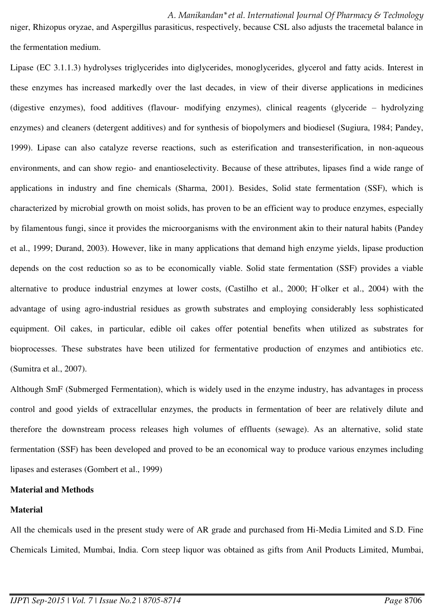niger, Rhizopus oryzae, and Aspergillus parasiticus, respectively, because CSL also adjusts the tracemetal balance in the fermentation medium.

Lipase (EC 3.1.1.3) hydrolyses triglycerides into diglycerides, monoglycerides, glycerol and fatty acids. Interest in these enzymes has increased markedly over the last decades, in view of their diverse applications in medicines (digestive enzymes), food additives (flavour- modifying enzymes), clinical reagents (glyceride – hydrolyzing enzymes) and cleaners (detergent additives) and for synthesis of biopolymers and biodiesel (Sugiura, 1984; Pandey, 1999). Lipase can also catalyze reverse reactions, such as esterification and transesterification, in non-aqueous environments, and can show regio- and enantioselectivity. Because of these attributes, lipases find a wide range of applications in industry and fine chemicals (Sharma, 2001). Besides, Solid state fermentation (SSF), which is characterized by microbial growth on moist solids, has proven to be an efficient way to produce enzymes, especially by filamentous fungi, since it provides the microorganisms with the environment akin to their natural habits (Pandey et al., 1999; Durand, 2003). However, like in many applications that demand high enzyme yields, lipase production depends on the cost reduction so as to be economically viable. Solid state fermentation (SSF) provides a viable alternative to produce industrial enzymes at lower costs, (Castilho et al., 2000; H¨olker et al., 2004) with the advantage of using agro-industrial residues as growth substrates and employing considerably less sophisticated equipment. Oil cakes, in particular, edible oil cakes offer potential benefits when utilized as substrates for bioprocesses. These substrates have been utilized for fermentative production of enzymes and antibiotics etc. (Sumitra et al., 2007).

Although SmF (Submerged Fermentation), which is widely used in the enzyme industry, has advantages in process control and good yields of extracellular enzymes, the products in fermentation of beer are relatively dilute and therefore the downstream process releases high volumes of effluents (sewage). As an alternative, solid state fermentation (SSF) has been developed and proved to be an economical way to produce various enzymes including lipases and esterases (Gombert et al., 1999)

#### **Material and Methods**

#### **Material**

All the chemicals used in the present study were of AR grade and purchased from Hi-Media Limited and S.D. Fine Chemicals Limited, Mumbai, India. Corn steep liquor was obtained as gifts from Anil Products Limited, Mumbai,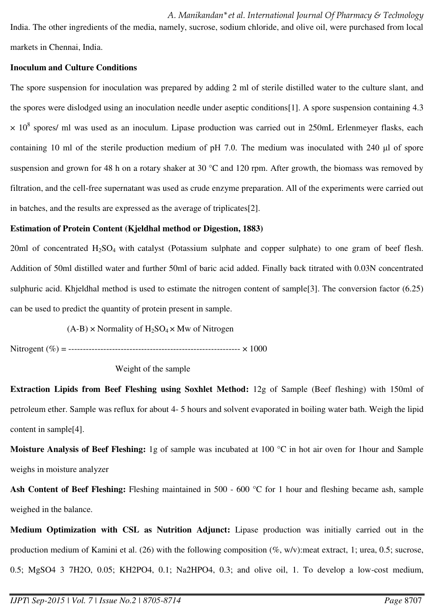India. The other ingredients of the media, namely, sucrose, sodium chloride, and olive oil, were purchased from local markets in Chennai, India.

#### **Inoculum and Culture Conditions**

The spore suspension for inoculation was prepared by adding 2 ml of sterile distilled water to the culture slant, and the spores were dislodged using an inoculation needle under aseptic conditions[1]. A spore suspension containing 4.3  $\times$  10<sup>8</sup> spores/ ml was used as an inoculum. Lipase production was carried out in 250mL Erlenmeyer flasks, each containing 10 ml of the sterile production medium of pH 7.0. The medium was inoculated with 240 μl of spore suspension and grown for 48 h on a rotary shaker at 30 °C and 120 rpm. After growth, the biomass was removed by filtration, and the cell-free supernatant was used as crude enzyme preparation. All of the experiments were carried out in batches, and the results are expressed as the average of triplicates[2].

# **Estimation of Protein Content (Kjeldhal method or Digestion, 1883)**

20ml of concentrated  $H_2SO_4$  with catalyst (Potassium sulphate and copper sulphate) to one gram of beef flesh. Addition of 50ml distilled water and further 50ml of baric acid added. Finally back titrated with 0.03N concentrated sulphuric acid. Khjeldhal method is used to estimate the nitrogen content of sample[3]. The conversion factor (6.25) can be used to predict the quantity of protein present in sample.

 $(A-B)$  × Normality of H<sub>2</sub>SO<sub>4</sub> × Mw of Nitrogen

Nitrogent (%) = ----------------------------------------------------------- × 1000

# Weight of the sample

**Extraction Lipids from Beef Fleshing using Soxhlet Method:** 12g of Sample (Beef fleshing) with 150ml of petroleum ether. Sample was reflux for about 4- 5 hours and solvent evaporated in boiling water bath. Weigh the lipid content in sample[4].

**Moisture Analysis of Beef Fleshing:** 1g of sample was incubated at 100 °C in hot air oven for 1hour and Sample weighs in moisture analyzer

Ash Content of Beef Fleshing: Fleshing maintained in 500 - 600 °C for 1 hour and fleshing became ash, sample weighed in the balance.

**Medium Optimization with CSL as Nutrition Adjunct:** Lipase production was initially carried out in the production medium of Kamini et al. (26) with the following composition (%, w/v):meat extract, 1; urea, 0.5; sucrose, 0.5; MgSO4 3 7H2O, 0.05; KH2PO4, 0.1; Na2HPO4, 0.3; and olive oil, 1. To develop a low-cost medium,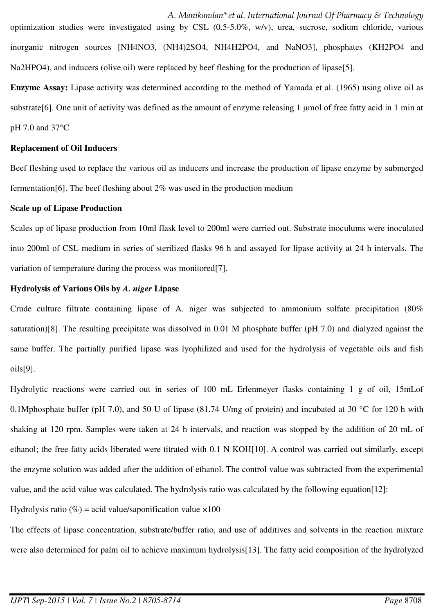*A. Manikandan\*et al. International Journal Of Pharmacy & Technology*  optimization studies were investigated using by CSL (0.5-5.0%, w/v), urea, sucrose, sodium chloride, various inorganic nitrogen sources [NH4NO3, (NH4)2SO4, NH4H2PO4, and NaNO3], phosphates (KH2PO4 and Na2HPO4), and inducers (olive oil) were replaced by beef fleshing for the production of lipase[5].

**Enzyme Assay:** Lipase activity was determined according to the method of Yamada et al. (1965) using olive oil as substrate[6]. One unit of activity was defined as the amount of enzyme releasing 1 μmol of free fatty acid in 1 min at pH 7.0 and 37°C

#### **Replacement of Oil Inducers**

Beef fleshing used to replace the various oil as inducers and increase the production of lipase enzyme by submerged fermentation[6]. The beef fleshing about 2% was used in the production medium

#### **Scale up of Lipase Production**

Scales up of lipase production from 10ml flask level to 200ml were carried out. Substrate inoculums were inoculated into 200ml of CSL medium in series of sterilized flasks 96 h and assayed for lipase activity at 24 h intervals. The variation of temperature during the process was monitored<sup>[7]</sup>.

# **Hydrolysis of Various Oils by** *A. niger* **Lipase**

Crude culture filtrate containing lipase of A. niger was subjected to ammonium sulfate precipitation (80% saturation)[8]. The resulting precipitate was dissolved in 0.01 M phosphate buffer (pH 7.0) and dialyzed against the same buffer. The partially purified lipase was lyophilized and used for the hydrolysis of vegetable oils and fish oils[9].

Hydrolytic reactions were carried out in series of 100 mL Erlenmeyer flasks containing 1 g of oil, 15mLof 0.1Mphosphate buffer (pH 7.0), and 50 U of lipase (81.74 U/mg of protein) and incubated at 30 °C for 120 h with shaking at 120 rpm. Samples were taken at 24 h intervals, and reaction was stopped by the addition of 20 mL of ethanol; the free fatty acids liberated were titrated with 0.1 N KOH[10]. A control was carried out similarly, except the enzyme solution was added after the addition of ethanol. The control value was subtracted from the experimental value, and the acid value was calculated. The hydrolysis ratio was calculated by the following equation[12]:

Hydrolysis ratio (%) = acid value/saponification value  $\times 100$ 

The effects of lipase concentration, substrate/buffer ratio, and use of additives and solvents in the reaction mixture were also determined for palm oil to achieve maximum hydrolysis<sup>[13]</sup>. The fatty acid composition of the hydrolyzed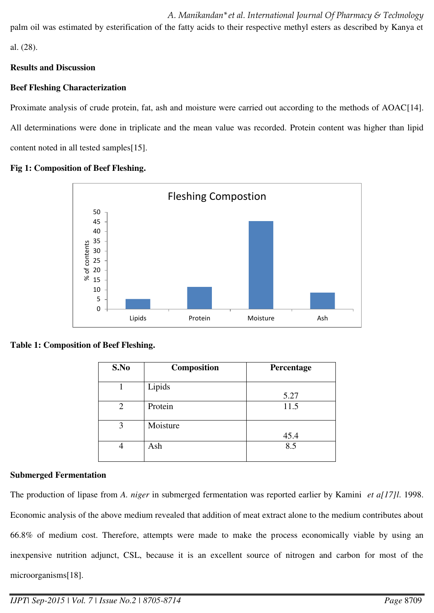*A. Manikandan\*et al. International Journal Of Pharmacy & Technology*  palm oil was estimated by esterification of the fatty acids to their respective methyl esters as described by Kanya et al. (28).

# **Results and Discussion**

# **Beef Fleshing Characterization**

Proximate analysis of crude protein, fat, ash and moisture were carried out according to the methods of AOAC[14]. All determinations were done in triplicate and the mean value was recorded. Protein content was higher than lipid content noted in all tested samples[15].



#### **Fig 1: Composition of Beef Fleshing.**

# **Table 1: Composition of Beef Fleshing.**

| S.No           | Composition | Percentage |
|----------------|-------------|------------|
|                | Lipids      | 5.27       |
| $\overline{2}$ | Protein     | 11.5       |
| 3              | Moisture    | 45.4       |
|                | Ash         | 8.5        |

# **Submerged Fermentation**

The production of lipase from *A. niger* in submerged fermentation was reported earlier by Kamini *et a[17]l*. 1998. Economic analysis of the above medium revealed that addition of meat extract alone to the medium contributes about 66.8% of medium cost. Therefore, attempts were made to make the process economically viable by using an inexpensive nutrition adjunct, CSL, because it is an excellent source of nitrogen and carbon for most of the microorganisms[18].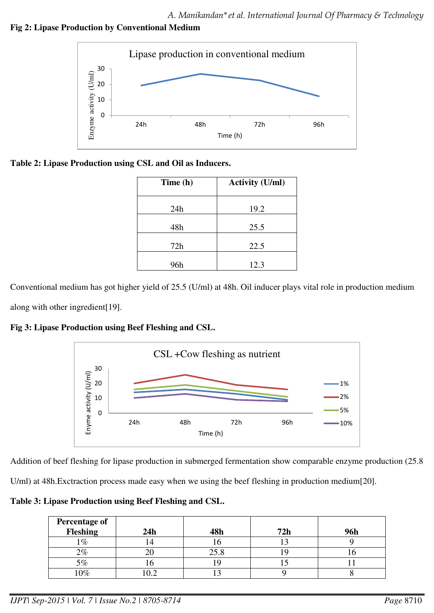**Fig 2: Lipase Production by Conventional Medium** 



# **Table 2: Lipase Production using CSL and Oil as Inducers.**

| Time (h) | <b>Activity (U/ml)</b> |
|----------|------------------------|
| 24h      | 19.2                   |
| 48h      | 25.5                   |
| 72h      | 22.5                   |
| 96h      | 12.3                   |

Conventional medium has got higher yield of 25.5 (U/ml) at 48h. Oil inducer plays vital role in production medium along with other ingredient[19].

# **Fig 3: Lipase Production using Beef Fleshing and CSL.**



Addition of beef fleshing for lipase production in submerged fermentation show comparable enzyme production (25.8

U/ml) at 48h.Exctraction process made easy when we using the beef fleshing in production medium[20].

**Table 3: Lipase Production using Beef Fleshing and CSL.** 

| <b>Percentage of</b><br>Fleshing | 24h | 48h  | 72h | <b>96h</b> |
|----------------------------------|-----|------|-----|------------|
| $\%$                             | 4   |      |     |            |
| $2\%$                            |     | 25.8 |     |            |
| $5\%$                            |     |      |     |            |
| $10\%$                           |     |      |     |            |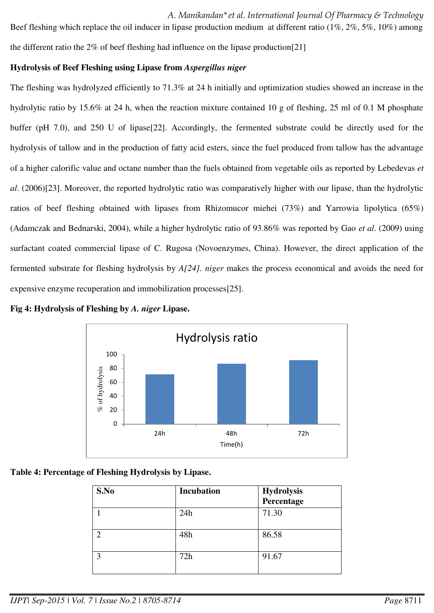*A. Manikandan\*et al. International Journal Of Pharmacy & Technology*  Beef fleshing which replace the oil inducer in lipase production medium at different ratio (1%, 2%, 5%, 10%) among the different ratio the 2% of beef fleshing had influence on the lipase production[21]

# **Hydrolysis of Beef Fleshing using Lipase from** *Aspergillus niger*

The fleshing was hydrolyzed efficiently to 71.3% at 24 h initially and optimization studies showed an increase in the hydrolytic ratio by 15.6% at 24 h, when the reaction mixture contained 10 g of fleshing, 25 ml of 0.1 M phosphate buffer (pH 7.0), and 250 U of lipase[22]. Accordingly, the fermented substrate could be directly used for the hydrolysis of tallow and in the production of fatty acid esters, since the fuel produced from tallow has the advantage of a higher calorific value and octane number than the fuels obtained from vegetable oils as reported by Lebedevas *et al*. (2006)[23]. Moreover, the reported hydrolytic ratio was comparatively higher with our lipase, than the hydrolytic ratios of beef fleshing obtained with lipases from Rhizomucor miehei (73%) and Yarrowia lipolytica (65%) (Adamczak and Bednarski, 2004), while a higher hydrolytic ratio of 93.86% was reported by Gao *et al*. (2009) using surfactant coated commercial lipase of C. Rugosa (Novoenzymes, China). However, the direct application of the fermented substrate for fleshing hydrolysis by *A[24]. niger* makes the process economical and avoids the need for expensive enzyme recuperation and immobilization processes[25].



**Fig 4: Hydrolysis of Fleshing by** *A. niger* **Lipase.** 



| S.No | <b>Incubation</b> | <b>Hydrolysis</b><br>Percentage |
|------|-------------------|---------------------------------|
|      | 24h               | 71.30                           |
| ◠    | 48h               | 86.58                           |
| 3    | 72h               | 91.67                           |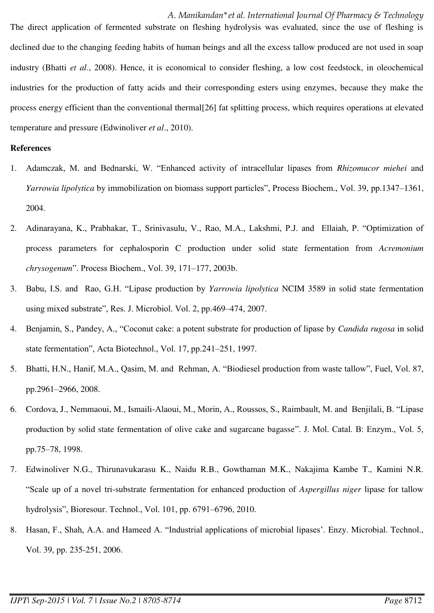*A. Manikandan\*et al. International Journal Of Pharmacy & Technology*  The direct application of fermented substrate on fleshing hydrolysis was evaluated, since the use of fleshing is declined due to the changing feeding habits of human beings and all the excess tallow produced are not used in soap industry (Bhatti *et al*., 2008). Hence, it is economical to consider fleshing, a low cost feedstock, in oleochemical industries for the production of fatty acids and their corresponding esters using enzymes, because they make the process energy efficient than the conventional thermal[26] fat splitting process, which requires operations at elevated temperature and pressure (Edwinoliver *et al*., 2010).

# **References**

- 1. Adamczak, M. and Bednarski, W. "Enhanced activity of intracellular lipases from *Rhizomucor miehei* and *Yarrowia lipolytica* by immobilization on biomass support particles", Process Biochem., Vol. 39, pp.1347–1361, 2004.
- 2. Adinarayana, K., Prabhakar, T., Srinivasulu, V., Rao, M.A., Lakshmi, P.J. and Ellaiah, P. "Optimization of process parameters for cephalosporin C production under solid state fermentation from *Acremonium chrysogenum*". Process Biochem., Vol. 39, 171–177, 2003b.
- 3. Babu, I.S. and Rao, G.H. "Lipase production by *Yarrowia lipolytica* NCIM 3589 in solid state fermentation using mixed substrate", Res. J. Microbiol. Vol. 2, pp.469–474, 2007.
- 4. Benjamin, S., Pandey, A., "Coconut cake: a potent substrate for production of lipase by *Candida rugosa* in solid state fermentation", Acta Biotechnol., Vol. 17, pp.241–251, 1997.
- 5. Bhatti, H.N., Hanif, M.A., Qasim, M. and Rehman, A. "Biodiesel production from waste tallow", Fuel, Vol. 87, pp.2961–2966, 2008.
- 6. Cordova, J., Nemmaoui, M., Ismaili-Alaoui, M., Morin, A., Roussos, S., Raimbault, M. and Benjilali, B. "Lipase production by solid state fermentation of olive cake and sugarcane bagasse". J. Mol. Catal. B: Enzym., Vol. 5, pp.75–78, 1998.
- 7. Edwinoliver N.G., Thirunavukarasu K., Naidu R.B., Gowthaman M.K., Nakajima Kambe T., Kamini N.R. "Scale up of a novel tri-substrate fermentation for enhanced production of *Aspergillus niger* lipase for tallow hydrolysis", Bioresour. Technol., Vol. 101, pp. 6791–6796, 2010.
- 8. Hasan, F., Shah, A.A. and Hameed A. "Industrial applications of microbial lipases'. Enzy. Microbial. Technol., Vol. 39, pp. 235-251, 2006.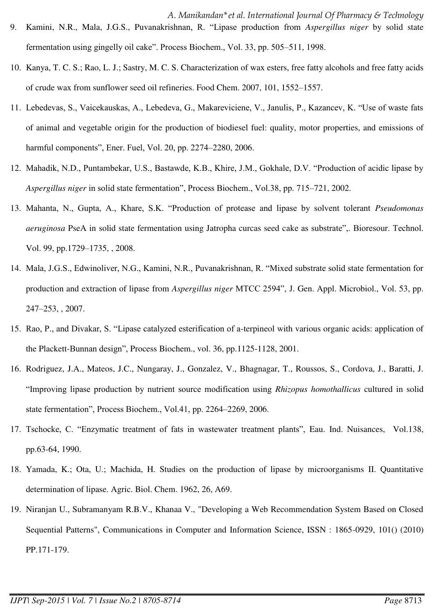- *A. Manikandan\*et al. International Journal Of Pharmacy & Technology*  9. Kamini, N.R., Mala, J.G.S., Puvanakrishnan, R. "Lipase production from *Aspergillus niger* by solid state fermentation using gingelly oil cake". Process Biochem., Vol. 33, pp. 505–511, 1998.
- 10. Kanya, T. C. S.; Rao, L. J.; Sastry, M. C. S. Characterization of wax esters, free fatty alcohols and free fatty acids of crude wax from sunflower seed oil refineries. Food Chem. 2007, 101, 1552–1557.
- 11. Lebedevas, S., Vaicekauskas, A., Lebedeva, G., Makareviciene, V., Janulis, P., Kazancev, K. "Use of waste fats of animal and vegetable origin for the production of biodiesel fuel: quality, motor properties, and emissions of harmful components", Ener. Fuel, Vol. 20, pp. 2274–2280, 2006.
- 12. Mahadik, N.D., Puntambekar, U.S., Bastawde, K.B., Khire, J.M., Gokhale, D.V. "Production of acidic lipase by *Aspergillus niger* in solid state fermentation", Process Biochem., Vol.38, pp. 715–721, 2002.
- 13. Mahanta, N., Gupta, A., Khare, S.K. "Production of protease and lipase by solvent tolerant *Pseudomonas aeruginosa* PseA in solid state fermentation using Jatropha curcas seed cake as substrate",. Bioresour. Technol. Vol. 99, pp.1729–1735, , 2008.
- 14. Mala, J.G.S., Edwinoliver, N.G., Kamini, N.R., Puvanakrishnan, R. "Mixed substrate solid state fermentation for production and extraction of lipase from *Aspergillus niger* MTCC 2594", J. Gen. Appl. Microbiol., Vol. 53, pp. 247–253, , 2007.
- 15. Rao, P., and Divakar, S. "Lipase catalyzed esterification of a-terpineol with various organic acids: application of the Plackett-Bunnan design", Process Biochem., vol. 36, pp.1125-1128, 2001.
- 16. Rodriguez, J.A., Mateos, J.C., Nungaray, J., Gonzalez, V., Bhagnagar, T., Roussos, S., Cordova, J., Baratti, J. "Improving lipase production by nutrient source modification using *Rhizopus homothallicus* cultured in solid state fermentation", Process Biochem., Vol.41, pp. 2264–2269, 2006.
- 17. Tschocke, C. "Enzymatic treatment of fats in wastewater treatment plants", Eau. Ind. Nuisances, Vol.138, pp.63-64, 1990.
- 18. Yamada, K.; Ota, U.; Machida, H. Studies on the production of lipase by microorganisms II. Quantitative determination of lipase. Agric. Biol. Chem. 1962, 26, A69.
- 19. Niranjan U., Subramanyam R.B.V., Khanaa V., "Developing a Web Recommendation System Based on Closed Sequential Patterns", Communications in Computer and Information Science, ISSN : 1865-0929, 101() (2010) PP.171-179.